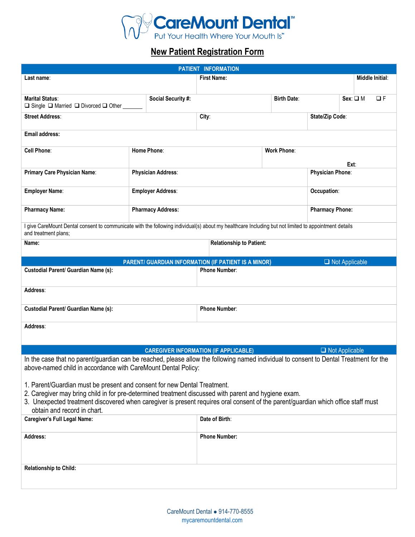

# **New Patient Registration Form**

| PATIENT INFORMATION                                                                                                                                                                                                                                                                                                                                  |                           |                                                                              |                                 |                        |                       |                 |
|------------------------------------------------------------------------------------------------------------------------------------------------------------------------------------------------------------------------------------------------------------------------------------------------------------------------------------------------------|---------------------------|------------------------------------------------------------------------------|---------------------------------|------------------------|-----------------------|-----------------|
| Last name:                                                                                                                                                                                                                                                                                                                                           |                           | <b>First Name:</b>                                                           |                                 |                        |                       | Middle Initial: |
|                                                                                                                                                                                                                                                                                                                                                      |                           |                                                                              |                                 |                        |                       |                 |
| <b>Marital Status:</b><br>$\Box$ Single $\Box$ Married $\Box$ Divorced $\Box$ Other                                                                                                                                                                                                                                                                  | <b>Social Security #:</b> |                                                                              | <b>Birth Date:</b>              |                        | $Sex: \Box M$         | $\Box F$        |
| <b>Street Address:</b>                                                                                                                                                                                                                                                                                                                               |                           | City:                                                                        |                                 | State/Zip Code:        |                       |                 |
| <b>Email address:</b>                                                                                                                                                                                                                                                                                                                                |                           |                                                                              |                                 |                        |                       |                 |
| <b>Cell Phone:</b>                                                                                                                                                                                                                                                                                                                                   | Home Phone:               |                                                                              | <b>Work Phone:</b><br>Ext:      |                        |                       |                 |
| Primary Care Physician Name:                                                                                                                                                                                                                                                                                                                         | <b>Physician Address:</b> |                                                                              |                                 | Physician Phone:       |                       |                 |
| <b>Employer Name:</b>                                                                                                                                                                                                                                                                                                                                | <b>Employer Address:</b>  |                                                                              | Occupation:                     |                        |                       |                 |
| <b>Pharmacy Name:</b>                                                                                                                                                                                                                                                                                                                                | <b>Pharmacy Address:</b>  |                                                                              |                                 | <b>Pharmacy Phone:</b> |                       |                 |
| I give CareMount Dental consent to communicate with the following individual(s) about my healthcare Including but not limited to appointment details<br>and treatment plans;                                                                                                                                                                         |                           |                                                                              |                                 |                        |                       |                 |
| Name:                                                                                                                                                                                                                                                                                                                                                |                           |                                                                              | <b>Relationship to Patient:</b> |                        |                       |                 |
|                                                                                                                                                                                                                                                                                                                                                      |                           |                                                                              |                                 |                        |                       |                 |
| Custodial Parent/ Guardian Name (s):                                                                                                                                                                                                                                                                                                                 |                           | PARENT/ GUARDIAN INFORMATION (IF PATIENT IS A MINOR)<br><b>Phone Number:</b> |                                 |                        | $\Box$ Not Applicable |                 |
|                                                                                                                                                                                                                                                                                                                                                      |                           |                                                                              |                                 |                        |                       |                 |
| Address:                                                                                                                                                                                                                                                                                                                                             |                           |                                                                              |                                 |                        |                       |                 |
| <b>Custodial Parent/ Guardian Name (s):</b>                                                                                                                                                                                                                                                                                                          |                           | <b>Phone Number:</b>                                                         |                                 |                        |                       |                 |
| Address:                                                                                                                                                                                                                                                                                                                                             |                           |                                                                              |                                 |                        |                       |                 |
|                                                                                                                                                                                                                                                                                                                                                      |                           |                                                                              |                                 |                        |                       |                 |
|                                                                                                                                                                                                                                                                                                                                                      |                           | <b>CAREGIVER INFORMATION (IF APPLICABLE)</b>                                 |                                 |                        | $\Box$ Not Applicable |                 |
| In the case that no parent/guardian can be reached, please allow the following named individual to consent to Dental Treatment for the<br>above-named child in accordance with CareMount Dental Policy:                                                                                                                                              |                           |                                                                              |                                 |                        |                       |                 |
| 1. Parent/Guardian must be present and consent for new Dental Treatment.<br>2. Caregiver may bring child in for pre-determined treatment discussed with parent and hygiene exam.<br>3. Unexpected treatment discovered when caregiver is present requires oral consent of the parent/guardian which office staff must<br>obtain and record in chart. |                           |                                                                              |                                 |                        |                       |                 |
| <b>Caregiver's Full Legal Name:</b>                                                                                                                                                                                                                                                                                                                  |                           | Date of Birth:                                                               |                                 |                        |                       |                 |
| Address:                                                                                                                                                                                                                                                                                                                                             |                           | <b>Phone Number:</b>                                                         |                                 |                        |                       |                 |
|                                                                                                                                                                                                                                                                                                                                                      |                           |                                                                              |                                 |                        |                       |                 |
| <b>Relationship to Child:</b>                                                                                                                                                                                                                                                                                                                        |                           |                                                                              |                                 |                        |                       |                 |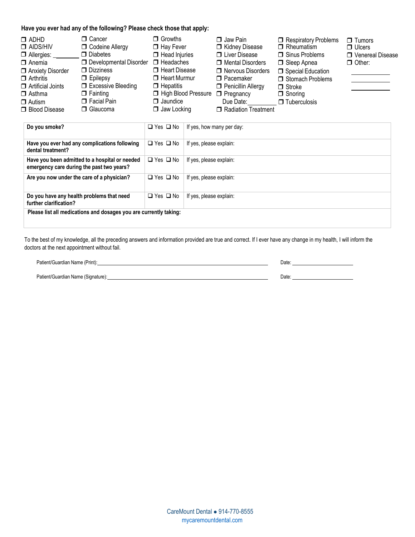#### **Have you ever had any of the following? Please check those that apply:**

| □ Cancer<br>$\Box$ ADHD<br>$\Box$ AIDS/HIV<br>$\Box$ Allergies:<br>$\Box$ Anemia<br>Anxiety Disorder<br>$\Box$ Arthritis<br>$\Box$ Artificial Joints<br>$\Box$ Fainting<br>$\Box$ Asthma<br>$\Box$ Autism<br>□ Blood Disease | <b>D</b> Codeine Allergy<br>$\Box$ Diabetes<br>$\Box$ Developmental Disorder $\Box$ Headaches<br>$\Box$ Dizziness<br>$\Box$ Epilepsy<br>□ Excessive Bleeding<br>$\Box$ Facial Pain<br>□ Glaucoma | $\Box$ Growths<br>$\Box$ Hay Fever<br>$\Box$ Head Injuries<br>□ Heart Disease<br>$\Box$ Heart Murmur<br>$\Box$ Hepatitis<br>High Blood Pressure<br>$\Box$ Jaundice<br>$\Box$ Jaw Locking | $\Box$ Jaw Pain<br>Kidney Disease<br><b>U</b> Liver Disease<br>□ Mental Disorders<br>□ Nervous Disorders<br>$\Box$ Pacemaker<br>Penicillin Allergy<br>$\Box$ Pregnancy<br>Due Date:<br>Radiation Treatment | Respiratory Problems<br>$\Box$ Rheumatism<br>$\Box$ Sinus Problems<br>□ Sleep Apnea<br>Special Education<br>Stomach Problems<br>$\Box$ Stroke<br>$\Box$ Snoring<br>$\Box$ Tuberculosis | $\Box$ Tumors<br>$\Box$ Ulcers<br>□ Venereal Disease<br>$\Box$ Other: |
|------------------------------------------------------------------------------------------------------------------------------------------------------------------------------------------------------------------------------|--------------------------------------------------------------------------------------------------------------------------------------------------------------------------------------------------|------------------------------------------------------------------------------------------------------------------------------------------------------------------------------------------|------------------------------------------------------------------------------------------------------------------------------------------------------------------------------------------------------------|----------------------------------------------------------------------------------------------------------------------------------------------------------------------------------------|-----------------------------------------------------------------------|
|------------------------------------------------------------------------------------------------------------------------------------------------------------------------------------------------------------------------------|--------------------------------------------------------------------------------------------------------------------------------------------------------------------------------------------------|------------------------------------------------------------------------------------------------------------------------------------------------------------------------------------------|------------------------------------------------------------------------------------------------------------------------------------------------------------------------------------------------------------|----------------------------------------------------------------------------------------------------------------------------------------------------------------------------------------|-----------------------------------------------------------------------|

| Do you smoke?                                                                               | $\Box$ Yes $\Box$ No | If yes, how many per day: |
|---------------------------------------------------------------------------------------------|----------------------|---------------------------|
| Have you ever had any complications following<br>dental treatment?                          | $\Box$ Yes $\Box$ No | If yes, please explain:   |
| Have you been admitted to a hospital or needed<br>emergency care during the past two years? | $\Box$ Yes $\Box$ No | If yes, please explain:   |
| Are you now under the care of a physician?                                                  | $\Box$ Yes $\Box$ No | If yes, please explain:   |
| Do you have any health problems that need<br>further clarification?                         | $\Box$ Yes $\Box$ No | If yes, please explain:   |
| Please list all medications and dosages you are currently taking:                           |                      |                           |

To the best of my knowledge, all the preceding answers and information provided are true and correct. If I ever have any change in my health, I will inform the doctors at the next appointment without fail.

| Patient/Guardian Name (Print):     | Date∶ |  |
|------------------------------------|-------|--|
|                                    |       |  |
| Patient/Guardian Name (Signature): | Date: |  |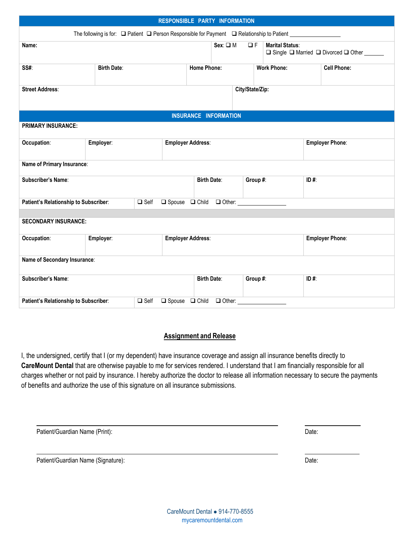| RESPONSIBLE PARTY INFORMATION                        |                    |                                                                                                           |                                             |                        |                        |      |                                              |
|------------------------------------------------------|--------------------|-----------------------------------------------------------------------------------------------------------|---------------------------------------------|------------------------|------------------------|------|----------------------------------------------|
|                                                      |                    | The following is for: $\Box$ Patient $\Box$ Person Responsible for Payment $\Box$ Relationship to Patient |                                             |                        |                        |      |                                              |
| Name:                                                |                    |                                                                                                           | $Sex: \Box M$                               | $\Box F$               | <b>Marital Status:</b> |      | □ Single □ Married □ Divorced □ Other ______ |
| SS#:                                                 | <b>Birth Date:</b> |                                                                                                           | <b>Home Phone:</b>                          | <b>Work Phone:</b>     |                        |      | <b>Cell Phone:</b>                           |
| <b>Street Address:</b>                               |                    |                                                                                                           |                                             | City/State/Zip:        |                        |      |                                              |
|                                                      |                    |                                                                                                           | <b>INSURANCE INFORMATION</b>                |                        |                        |      |                                              |
| <b>PRIMARY INSURANCE:</b>                            |                    |                                                                                                           |                                             |                        |                        |      |                                              |
| Occupation:<br>Employer:                             |                    | <b>Employer Address:</b>                                                                                  |                                             | <b>Employer Phone:</b> |                        |      |                                              |
| Name of Primary Insurance:                           |                    |                                                                                                           |                                             |                        |                        |      |                                              |
| Subscriber's Name:                                   |                    |                                                                                                           | <b>Birth Date:</b>                          |                        | Group #:               | ID#: |                                              |
| Patient's Relationship to Subscriber:<br>$\Box$ Self |                    |                                                                                                           |                                             |                        |                        |      |                                              |
| <b>SECONDARY INSURANCE:</b>                          |                    |                                                                                                           |                                             |                        |                        |      |                                              |
| Occupation:<br>Employer:                             |                    | <b>Employer Address:</b>                                                                                  |                                             |                        | <b>Employer Phone:</b> |      |                                              |
| Name of Secondary Insurance:                         |                    |                                                                                                           |                                             |                        |                        |      |                                              |
| Subscriber's Name:                                   |                    |                                                                                                           | <b>Birth Date:</b>                          |                        | Group #:               | ID#: |                                              |
| Patient's Relationship to Subscriber:                |                    | $\Box$ Self                                                                                               | $\Box$ Spouse $\Box$ Child<br>$\Box$ Other: |                        |                        |      |                                              |

### **Assignment and Release**

I, the undersigned, certify that I (or my dependent) have insurance coverage and assign all insurance benefits directly to **CareMount Dental** that are otherwise payable to me for services rendered. I understand that I am financially responsible for all charges whether or not paid by insurance. I hereby authorize the doctor to release all information necessary to secure the payments of benefits and authorize the use of this signature on all insurance submissions.

| Patient/Guardian Name (Print): | Date: |
|--------------------------------|-------|
|                                |       |

Patient/Guardian Name (Signature): Date: Date: Date: Date: Date: Date: Date: Date: Date: Date: Date: Date: Date: Date: Date: Date: Date: Date: Date: Date: Date: Date: Date: Date: Date: Date: Date: Date: Date: Date: Date: D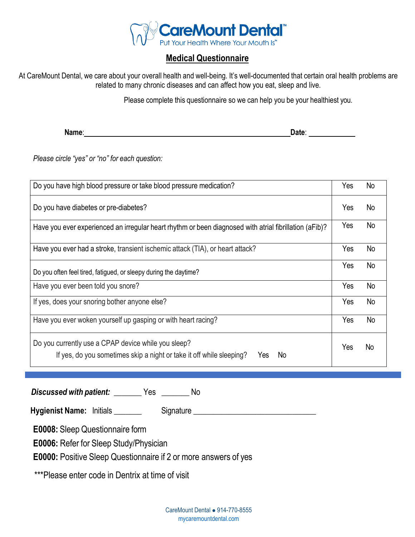

## **Medical Questionnaire**

At CareMount Dental, we care about your overall health and well-being. It's well-documented that certain oral health problems are related to many chronic diseases and can affect how you eat, sleep and live.

Please complete this questionnaire so we can help you be your healthiest you.

**Name: Date**: **Date**: **Date**: **Date: Date: Date: Date: Date: Date: Date: Date: Date: Date: Date: Date: Date: Date: Date: Date: Date: Date: Date: Date: Date: Date: Date: Date:** 

*Please circle "yes" or "no" for each question:*

| Do you have high blood pressure or take blood pressure medication?                                                                        | Yes | No        |
|-------------------------------------------------------------------------------------------------------------------------------------------|-----|-----------|
| Do you have diabetes or pre-diabetes?                                                                                                     | Yes | No        |
| Have you ever experienced an irregular heart rhythm or been diagnosed with atrial fibrillation (aFib)?                                    | Yes | No        |
| Have you ever had a stroke, transient ischemic attack (TIA), or heart attack?                                                             | Yes | No        |
| Do you often feel tired, fatigued, or sleepy during the daytime?                                                                          | Yes | No        |
| Have you ever been told you snore?                                                                                                        |     | No        |
| If yes, does your snoring bother anyone else?                                                                                             |     | <b>No</b> |
| Have you ever woken yourself up gasping or with heart racing?                                                                             |     | No        |
| Do you currently use a CPAP device while you sleep?<br>If yes, do you sometimes skip a night or take it off while sleeping?<br>No.<br>Yes |     | No.       |

*Discussed with patient:* **\_\_\_\_\_\_\_** Yes **\_\_\_\_\_\_\_** No

**Hygienist Name:**Initials \_\_\_\_\_\_\_ Signature \_\_\_\_\_\_\_\_\_\_\_\_\_\_\_\_\_\_\_\_\_\_\_\_\_\_\_\_\_\_\_

**E0008:** Sleep Questionnaire form

**E0006:** Refer for Sleep Study/Physician

**E0000:** Positive Sleep Questionnaire if 2 or more answers of yes

\*\*\*Please enter code in Dentrix at time of visit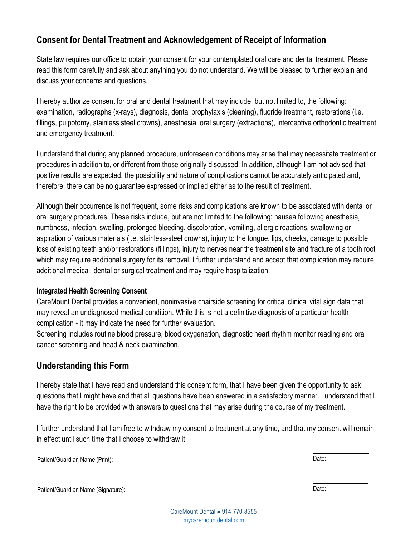## **Consent for Dental Treatment and Acknowledgement of Receipt of Information**

State law requires our office to obtain your consent for your contemplated oral care and dental treatment. Please read this form carefully and ask about anything you do not understand. We will be pleased to further explain and discuss your concerns and questions.

I hereby authorize consent for oral and dental treatment that may include, but not limited to, the following: examination, radiographs (x-rays), diagnosis, dental prophylaxis (cleaning), fluoride treatment, restorations (i.e. fillings, pulpotomy, stainless steel crowns), anesthesia, oral surgery (extractions), interceptive orthodontic treatment and emergency treatment.

I understand that during any planned procedure, unforeseen conditions may arise that may necessitate treatment or procedures in addition to, or different from those originally discussed. In addition, although I am not advised that positive results are expected, the possibility and nature of complications cannot be accurately anticipated and, therefore, there can be no guarantee expressed or implied either as to the result of treatment.

Although their occurrence is not frequent, some risks and complications are known to be associated with dental or oral surgery procedures. These risks include, but are not limited to the following: nausea following anesthesia, numbness, infection, swelling, prolonged bleeding, discoloration, vomiting, allergic reactions, swallowing or aspiration of various materials (i.e. stainless-steel crowns), injury to the tongue, lips, cheeks, damage to possible loss of existing teeth and/or restorations (fillings), injury to nerves near the treatment site and fracture of a tooth root which may require additional surgery for its removal. I further understand and accept that complication may require additional medical, dental or surgical treatment and may require hospitalization.

### **Integrated Health Screening Consent**

CareMount Dental provides a convenient, noninvasive chairside screening for critical clinical vital sign data that may reveal an undiagnosed medical condition. While this is not a definitive diagnosis of a particular health complication - it may indicate the need for further evaluation.

Screening includes routine blood pressure, blood oxygenation, diagnostic heart rhythm monitor reading and oral cancer screening and head & neck examination.

## **Understanding this Form**

I hereby state that I have read and understand this consent form, that I have been given the opportunity to ask questions that I might have and that all questions have been answered in a satisfactory manner. I understand that I have the right to be provided with answers to questions that may arise during the course of my treatment.

I further understand that I am free to withdraw my consent to treatment at any time, and that my consent will remain in effect until such time that I choose to withdraw it.

Patient/Guardian Name (Print): Date:

Patient/Guardian Name (Signature): Date: Date: Date: Date: Date: Date: Date: Date: Date: Date: Date: Date: Date: Date: Date: Date: Date: Date: Date: Date: Date: Date: Date: Date: Date: Date: Date: Date: Date: Date: Date: D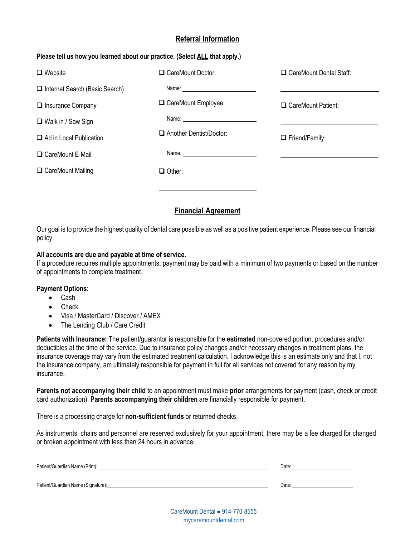## **Referral Information**

### **Please tell us how you learned about our practice. (Select ALL that apply.)**

| $\Box$ Website                        | CareMount Doctor:              | □ CareMount Dental Staff: |
|---------------------------------------|--------------------------------|---------------------------|
| $\Box$ Internet Search (Basic Search) |                                |                           |
| $\Box$ Insurance Company              | CareMount Employee:            | CareMount Patient:        |
| $\Box$ Walk in / Saw Sign             |                                |                           |
| $\Box$ Ad in Local Publication        | $\Box$ Another Dentist/Doctor: | $\Box$ Friend/Family:     |
| □ CareMount E-Mail                    |                                |                           |
| □ CareMount Mailing                   | $\Box$ Other:                  |                           |
|                                       |                                |                           |

## **Financial Agreement**

Our goal is to provide the highest quality of dental care possible as well as a positive patient experience. Please see our financial policy.

### **All accounts are due and payable at time of service.**

If a procedure requires multiple appointments, payment may be paid with a minimum of two payments or based on the number of appointments to complete treatment.

### **Payment Options:**

- Cash
- Check
- Visa / MasterCard / Discover / AMEX
- The Lending Club / Care Credit

**Patients with Insurance:** The patient/guarantor is responsible for the **estimated** non-covered portion, procedures and/or deductibles at the time of the service. Due to insurance policy changes and/or necessary changes in treatment plans, the insurance coverage may vary from the estimated treatment calculation. I acknowledge this is an estimate only and that I, not the insurance company, am ultimately responsible for payment in full for all services not covered for any reason by my insurance.

**Parents not accompanying their child** to an appointment must make **prior** arrangements for payment (cash, check or credit card authorization). **Parents accompanying their children** are financially responsible for payment.

There is a processing charge for **non-sufficient funds** or returned checks.

As instruments, chairs and personnel are reserved exclusively for your appointment, there may be a fee charged for changed or broken appointment with less than 24 hours in advance.

| Patient/Guardian Name (Print):     | Date: |
|------------------------------------|-------|
| Patient/Guardian Name (Signature): | Date: |

CareMount Dental ⚫ 914-770-8555 <mycaremountdental.com>